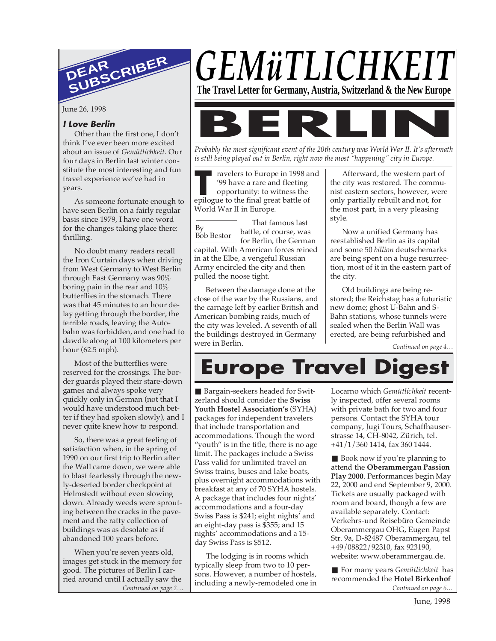

June 26, 1998

# **I Love Berlin**

Other than the first one, I don't think I've ever been more excited about an issue of *Gemütlichkeit*. Our four days in Berlin last winter constitute the most interesting and fun travel experience we've had in years.

As someone fortunate enough to have seen Berlin on a fairly regular basis since 1979, I have one word for the changes taking place there: thrilling.

No doubt many readers recall the Iron Curtain days when driving from West Germany to West Berlin through East Germany was 90% boring pain in the rear and 10% butterflies in the stomach. There was that 45 minutes to an hour delay getting through the border, the terrible roads, leaving the Autobahn was forbidden, and one had to dawdle along at 100 kilometers per hour (62.5 mph).

Most of the butterflies were reserved for the crossings. The border guards played their stare-down games and always spoke very quickly only in German (not that I would have understood much better if they had spoken slowly), and I never quite knew how to respond.

So, there was a great feeling of satisfaction when, in the spring of 1990 on our first trip to Berlin after the Wall came down, we were able to blast fearlessly through the newly-deserted border checkpoint at Helmstedt without even slowing down. Already weeds were sprouting between the cracks in the pavement and the ratty collection of buildings was as desolate as if abandoned 100 years before.

When you're seven years old, images get stuck in the memory for good. The pictures of Berlin I carried around until I actually saw the

# GEMüTLICHKE



*Probably the most significant event of the 20th century was World War II. It's aftermath is still being played out in Berlin, right now the most "happening" city in Europe.*

ravelers to Europe in 1998 and '99 have a rare and fleeting

**T** epilogue to the final great battle of opportunity: to witness the World War II in Europe.

By Bob Bestor That famous last battle, of course, was for Berlin, the German capital. With American forces reined in at the Elbe, a vengeful Russian Army encircled the city and then pulled the noose tight.

Between the damage done at the close of the war by the Russians, and the carnage left by earlier British and American bombing raids, much of the city was leveled. A seventh of all the buildings destroyed in Germany were in Berlin.

Afterward, the western part of the city was restored. The communist eastern sectors, however, were only partially rebuilt and not, for the most part, in a very pleasing style.

Now a unified Germany has reestablished Berlin as its capital and some 50 *billion* deutschemarks are being spent on a huge resurrection, most of it in the eastern part of the city.

Old buildings are being restored; the Reichstag has a futuristic new dome; ghost U-Bahn and S-Bahn stations, whose tunnels were sealed when the Berlin Wall was erected, are being refurbished and

*Continued on page 4…*

# **Europe Travel Digest**

■ Bargain-seekers headed for Switzerland should consider the **Swiss Youth Hostel Association's** (SYHA) packages for independent travelers that include transportation and accommodations. Though the word "youth" is in the title, there is no age limit. The packages include a Swiss Pass valid for unlimited travel on Swiss trains, buses and lake boats, plus overnight accommodations with breakfast at any of 70 SYHA hostels. A package that includes four nights' accommodations and a four-day Swiss Pass is \$241; eight nights' and an eight-day pass is \$355; and 15 nights' accommodations and a 15 day Swiss Pass is \$512.

The lodging is in rooms which typically sleep from two to 10 persons. However, a number of hostels, including a newly-remodeled one in Locarno which *Gemütlichkeit* recently inspected, offer several rooms with private bath for two and four persons. Contact the SYHA tour company, Jugi Tours, Schaffhauserstrasse 14, CH-8042, Zürich, tel. +41/1/360 1414, fax 360 1444.

■ Book now if you're planning to attend the **Oberammergau Passion Play 2000**. Performances begin May 22, 2000 and end September 9, 2000. Tickets are usually packaged with room and board, though a few are available separately. Contact: Verkehrs-und Reisebüro Gemeinde Oberammergau OHG, Eugen Papst Str. 9a, D-82487 Oberammergau, tel +49/08822/92310, fax 923190, website: www.oberammergau.de.

*Continued on page 2… Continued on page 6…* ■ For many years *Gemütlichkeit* has recommended the **Hotel Birkenhof**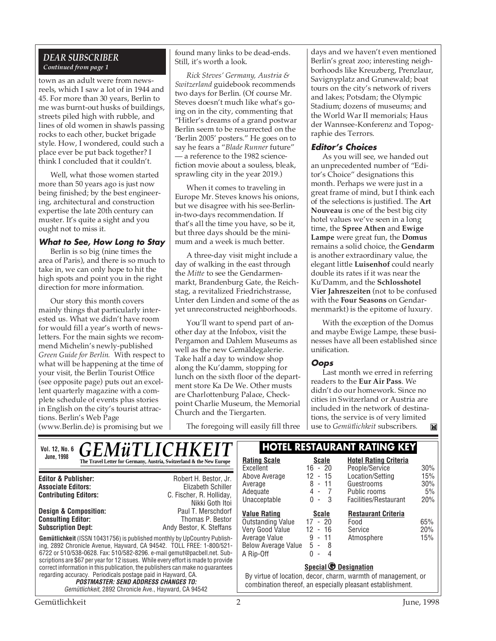# *DEAR SUBSCRIBER Continued from page 1*

town as an adult were from newsreels, which I saw a lot of in 1944 and 45. For more than 30 years, Berlin to me was burnt-out husks of buildings, streets piled high with rubble, and lines of old women in shawls passing rocks to each other, bucket brigade style. How, I wondered, could such a place ever be put back together? I think I concluded that it couldn't.

Well, what those women started more than 50 years ago is just now being finished; by the best engineering, architectural and construction expertise the late 20th century can muster. It's quite a sight and you ought not to miss it.

#### **What to See, How Long to Stay**

Berlin is so big (nine times the area of Paris), and there is so much to take in, we can only hope to hit the high spots and point you in the right direction for more information.

Our story this month covers mainly things that particularly interested us. What we didn't have room for would fill a year's worth of newsletters. For the main sights we recommend Michelin's newly-published *Green Guide for Berlin.* With respect to what will be happening at the time of your visit, the Berlin Tourist Office (see opposite page) puts out an excellent quarterly magazine with a complete schedule of events plus stories in English on the city's tourist attractions. Berlin's Web Page

(www.Berlin.de) is promising but we

found many links to be dead-ends. Still, it's worth a look.

*Rick Steves' Germany, Austria & Switzerland* guidebook recommends two days for Berlin. (Of course Mr. Steves doesn't much like what's going on in the city, commenting that "Hitler's dreams of a grand postwar Berlin seem to be resurrected on the 'Berlin 2005' posters." He goes on to say he fears a "*Blade Runner* future" — a reference to the 1982 sciencefiction movie about a souless, bleak, sprawling city in the year 2019.)

When it comes to traveling in Europe Mr. Steves knows his onions, but we disagree with his see-Berlinin-two-days recommendation. If that's all the time you have, so be it, but three days should be the minimum and a week is much better.

A three-day visit might include a day of walking in the east through the *Mitte* to see the Gendarmenmarkt, Brandenburg Gate, the Reichstag, a revitalized Friedrichstrasse, Unter den Linden and some of the as yet unreconstructed neighborhoods.

You'll want to spend part of another day at the Infobox, visit the Pergamon and Dahlem Museums as well as the new Gemäldegalerie. Take half a day to window shop along the Ku'damm, stopping for lunch on the sixth floor of the department store Ka De We. Other musts are Charlottenburg Palace, Checkpoint Charlie Museum, the Memorial Church and the Tiergarten.

The foregoing will easily fill three

days and we haven't even mentioned Berlin's great zoo; interesting neighborhoods like Kreuzberg, Prenzlaur, Savignyplatz and Grunewald; boat tours on the city's network of rivers and lakes; Potsdam; the Olympic Stadium; dozens of museums; and the World War II memorials; Haus der Wannsee-Konferenz and Topographie des Terrors.

# **Editor's Choices**

As you will see, we handed out an unprecedented number of "Editor's Choice" designations this month. Perhaps we were just in a great frame of mind, but I think each of the selections is justified. The **Art Nouveau** is one of the best big city hotel values we've seen in a long time, the **Spree Athen** and **Ewige Lampe** were great fun, the **Domus** remains a solid choice, the **Gendarm** is another extraordinary value, the elegant little **Luisenhof** could nearly double its rates if it was near the Ku'Damm, and the **Schlosshotel Vier Jahreszeiten** (not to be confused with the **Four Seasons** on Gendarmenmarkt) is the epitome of luxury.

With the exception of the Domus and maybe Ewige Lampe, these businesses have all been established since unification.

# **Oops**

Last month we erred in referring readers to the **Eur Air Pass**. We didn't do our homework. Since no cities in Switzerland or Austria are included in the network of destinations, the service is of very limited use to *Gemütlichkeit* subscribers.**IN** 

| <i><b>GEMÜTLICHKEIT</b></i><br>Vol. 12, No. 6                                                                                                                                                                                                                                                                                                                                                                                                                                                                                                                                                      |                                                                                            | <b>HOTEL RESTAURANT RATING KEY</b>                                            |                                                                                               |                                                                             |                         |
|----------------------------------------------------------------------------------------------------------------------------------------------------------------------------------------------------------------------------------------------------------------------------------------------------------------------------------------------------------------------------------------------------------------------------------------------------------------------------------------------------------------------------------------------------------------------------------------------------|--------------------------------------------------------------------------------------------|-------------------------------------------------------------------------------|-----------------------------------------------------------------------------------------------|-----------------------------------------------------------------------------|-------------------------|
| <b>June, 1998</b>                                                                                                                                                                                                                                                                                                                                                                                                                                                                                                                                                                                  | The Travel Letter for Germany, Austria, Switzerland & the New Europe                       | <b>Rating Scale</b><br>Excellent                                              | <b>Scale</b><br>$16 - 20$                                                                     | <b>Hotel Rating Criteria</b><br>People/Service                              | 30%                     |
| <b>Editor &amp; Publisher:</b><br><b>Associate Editors:</b><br><b>Contributing Editors:</b>                                                                                                                                                                                                                                                                                                                                                                                                                                                                                                        | Robert H. Bestor, Jr.<br>Elizabeth Schiller<br>C. Fischer, R. Holliday,<br>Nikki Goth Itoi | Above Average<br>Average<br>Adequate<br>Unacceptable                          | 12 - 15<br>8 - 11<br>4 -<br>$\overline{7}$<br>$0 -$<br>-3                                     | Location/Setting<br>Guestrooms<br>Public rooms<br>Facilities/Restaurant     | 15%<br>30%<br>5%<br>20% |
| <b>Design &amp; Composition:</b><br><b>Consulting Editor:</b><br><b>Subscription Dept:</b>                                                                                                                                                                                                                                                                                                                                                                                                                                                                                                         | Paul T. Merschdorf<br>Thomas P. Bestor<br>Andy Bestor, K. Steffans                         | <b>Value Rating</b><br>Outstanding Value<br>Very Good Value                   | <b>Scale</b><br>$17 - 20$<br>$12 - 16$                                                        | <b>Restaurant Criteria</b><br>Food<br>Service                               | 65%<br>20%              |
| <b>Gemütlichkeit</b> (ISSN 10431756) is published monthly by UpCountry Publish-<br>ing, 2892 Chronicle Avenue, Hayward, CA 94542. TOLL FREE: 1-800/521-<br>6722 or 510/538-0628. Fax: 510/582-8296. e-mail gemut@pacbell.net. Sub-<br>scriptions are \$67 per year for 12 issues. While every effort is made to provide<br>correct information in this publication, the publishers can make no quarantees<br>regarding accuracy. Periodicals postage paid in Hayward, CA.<br><b>POSTMASTER: SEND ADDRESS CHANGES TO:</b><br>Gemütlichkeit, 2892 Chronicle Ave., Hayward, CA 94542<br>Gemütlichkeit |                                                                                            | Average Value<br>Below Average Value<br>A Rip-Off                             | $9 - 11$<br>$5 - 8$<br>0<br>4<br>$\overline{\phantom{a}}$<br>Special <sup>O</sup> Designation | Atmosphere<br>By virtue of location, decor, charm, warmth of management, or | 15%                     |
|                                                                                                                                                                                                                                                                                                                                                                                                                                                                                                                                                                                                    |                                                                                            | combination thereof, an especially pleasant establishment.<br>2<br>June, 1998 |                                                                                               |                                                                             |                         |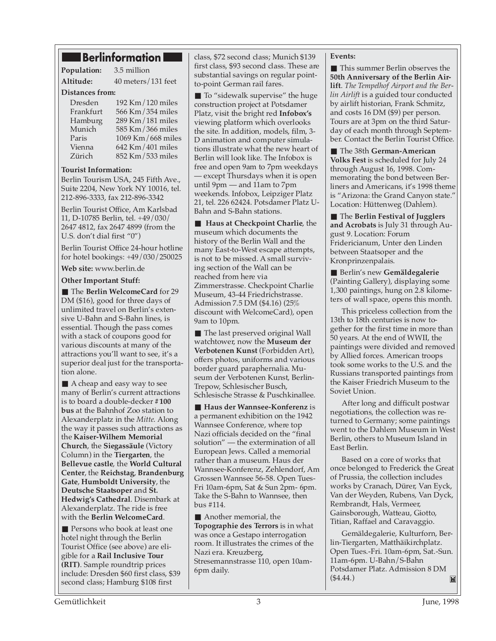# **Berlinformation**

**Population:** 3.5 million

**Altitude:** 40 meters/131 feet **Distances from:**

| Dresden   | 192 Km/120 miles      |
|-----------|-----------------------|
| Frankfurt | 566 Km/354 miles      |
| Hamburg   | $289$ Km $/181$ miles |
| Munich    | 585 Km/366 miles      |
| Paris     | 1069 Km/668 miles     |
| Vienna    | 642 Km/401 miles      |
| Zürich    | 852 Km/533 miles      |
|           |                       |

#### **Tourist Information:**

Berlin Tourism USA, 245 Fifth Ave., Suite 2204, New York NY 10016, tel. 212-896-3333, fax 212-896-3342

Berlin Tourist Office, Am Karlsbad 11, D-10785 Berlin, tel. +49/030/ 2647 4812, fax 2647 4899 (from the U.S. don't dial first "0")

Berlin Tourist Office 24-hour hotline for hotel bookings: +49/030/250025

**Web site:** www.berlin.de

**Other Important Stuff:**

■ The **Berlin WelcomeCard** for 29 DM (\$16), good for three days of unlimited travel on Berlin's extensive U-Bahn and S-Bahn lines, is essential. Though the pass comes with a stack of coupons good for various discounts at many of the attractions you'll want to see, it's a superior deal just for the transportation alone.

■ A cheap and easy way to see many of Berlin's current attractions is to board a double-decker **#100 bus** at the Bahnhof Zoo station to Alexanderplatz in the *Mitte*. Along the way it passes such attractions as the **Kaiser-Wilhem Memorial Church**, the **Siegassäule** (Victory Column) in the **Tiergarten**, the **Bellevue castle**, the **World Cultural Center**, the **Reichstag**, **Brandenburg Gate**, **Humboldt University**, the **Deutsche Staatsoper** and **St. Hedwig's Cathedral**. Disembark at Alexanderplatz. The ride is free with the **Berlin WelcomeCard**.

■ Persons who book at least one hotel night through the Berlin Tourist Office (see above) are eligible for a **Rail Inclusive Tour (RIT)**. Sample roundtrip prices include: Dresden \$60 first class, \$39 second class; Hamburg \$108 first

class, \$72 second class; Munich \$139 first class, \$93 second class. These are substantial savings on regular pointto-point German rail fares.

■ To "sidewalk supervise" the huge construction project at Potsdamer Platz, visit the bright red **Infobox's** viewing platform which overlooks the site. In addition, models, film, 3- D animation and computer simulations illustrate what the new heart of Berlin will look like. The Infobox is free and open 9am to 7pm weekdays except Thursdays when it is open until 9pm — and 11am to 7pm weekends. Infobox, Leipziger Platz 21, tel. 226 62424. Potsdamer Platz U-Bahn and S-Bahn stations.

■ **Haus at Checkpoint Charlie**, the museum which documents the history of the Berlin Wall and the many East-to-West escape attempts, is not to be missed. A small surviving section of the Wall can be reached from here via Zimmerstrasse. Checkpoint Charlie Museum, 43-44 Friedrichstrasse. Admission 7.5 DM (\$4.16) (25% discount with WelcomeCard), open 9am to 10pm.

The last preserved original Wall watchtower, now the **Museum der Verbotenen Kunst** (Forbidden Art), offers photos, uniforms and various border guard paraphernalia. Museum der Verbotenen Kunst, Berlin-Trepow, Schlesischer Busch, Schlesische Strasse & Puschkinallee.

■ **Haus der Wannsee-Konferenz** is a permanent exhibition on the 1942 Wannsee Conference, where top Nazi officials decided on the "final solution" — the extermination of all European Jews. Called a memorial rather than a museum. Haus der Wannsee-Konferenz, Zehlendorf, Am Grossen Wannsee 56-58. Open Tues-Fri 10am-6pm, Sat & Sun 2pm- 6pm. Take the S-Bahn to Wannsee, then bus #114.

■ Another memorial, the **Topographie des Terrors** is in what was once a Gestapo interrogation room. It illustrates the crimes of the Nazi era. Kreuzberg, Stresemannstrasse 110, open 10am-6pm daily.

#### **Events:**

■ This summer Berlin observes the **50th Anniversary of the Berlin Airlift**. *The Tempelhof Airport and the Berlin Airlift* is a guided tour conducted by airlift historian, Frank Schmitz, and costs 16 DM (\$9) per person. Tours are at 3pm on the third Saturday of each month through September. Contact the Berlin Tourist Office.

■ The 38th **German-American Volks Fest** is scheduled for July 24 through August 16, 1998. Commemorating the bond between Berliners and Americans, it's 1998 theme is "Arizona: the Grand Canyon state." Location: Hüttenweg (Dahlem).

■ The **Berlin Festival of Jugglers and Acrobats** is July 31 through August 9. Location: Forum Fridericianum, Unter den Linden between Staatsoper and the Kronprinzenpalais.

■ Berlin's new **Gemäldegalerie** (Painting Gallery), displaying some 1,300 paintings, hung on 2.8 kilometers of wall space, opens this month.

This priceless collection from the 13th to 18th centuries is now together for the first time in more than 50 years. At the end of WWII, the paintings were divided and removed by Allied forces. American troops took some works to the U.S. and the Russians transported paintings from the Kaiser Friedrich Museum to the Soviet Union.

After long and difficult postwar negotiations, the collection was returned to Germany; some paintings went to the Dahlem Museum in West Berlin, others to Museum Island in East Berlin.

Based on a core of works that once belonged to Frederick the Great of Prussia, the collection includes works by Cranach, Dürer, Van Eyck, Van der Weyden, Rubens, Van Dyck, Rembrandt, Hals, Vermeer, Gainsborough, Watteau, Giotto, Titian, Raffael and Caravaggio.

Gemäldegalerie, Kulturforn, Berlin-Tiergarten, Matthäikirchplatz. Open Tues.-Fri. 10am-6pm, Sat.-Sun. 11am-6pm. U-Bahn/S-Bahn Potsdamer Platz. Admission 8 DM (\$4.44.) M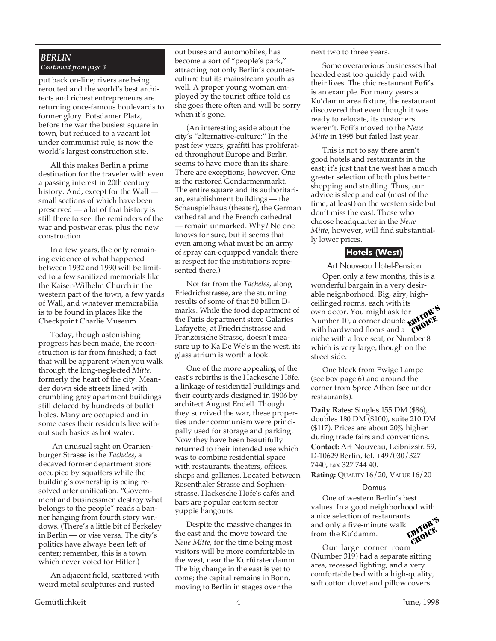# *BERLIN Continued from page 3*

put back on-line; rivers are being rerouted and the world's best architects and richest entrepreneurs are returning once-famous boulevards to former glory. Potsdamer Platz, before the war the busiest square in town, but reduced to a vacant lot under communist rule, is now the world's largest construction site.

All this makes Berlin a prime destination for the traveler with even a passing interest in 20th century history. And, except for the Wall small sections of which have been preserved — a lot of that history is still there to see: the reminders of the war and postwar eras, plus the new construction.

In a few years, the only remaining evidence of what happened between 1932 and 1990 will be limited to a few sanitized memorials like the Kaiser-Wilhelm Church in the western part of the town, a few yards of Wall, and whatever memorabilia is to be found in places like the Checkpoint Charlie Museum.

Today, though astonishing progress has been made, the reconstruction is far from finished; a fact that will be apparent when you walk through the long-neglected *Mitte*, formerly the heart of the city. Meander down side streets lined with crumbling gray apartment buildings still defaced by hundreds of bullet holes. Many are occupied and in some cases their residents live without such basics as hot water.

 An unusual sight on Oranienburger Strasse is the *Tacheles*, a decayed former department store occupied by squatters while the building's ownership is being resolved after unification. "Government and businessmen destroy what belongs to the people" reads a banner hanging from fourth story windows. (There's a little bit of Berkeley in Berlin — or vise versa. The city's politics have always been left of center; remember, this is a town which never voted for Hitler.)

An adjacent field, scattered with weird metal sculptures and rusted

out buses and automobiles, has become a sort of "people's park," attracting not only Berlin's counterculture but its mainstream youth as well. A proper young woman employed by the tourist office told us she goes there often and will be sorry when it's gone.

(An interesting aside about the city's "alternative-culture:" In the past few years, graffiti has proliferated throughout Europe and Berlin seems to have more than its share. There are exceptions, however. One is the restored Gendarmenmarkt. The entire square and its authoritarian, establishment buildings — the Schauspielhaus (theater), the German cathedral and the French cathedral — remain unmarked. Why? No one knows for sure, but it seems that even among what must be an army of spray can-equipped vandals there is respect for the institutions represented there.)

Not far from the *Tacheles*, along Friedrichstrasse, are the stunning results of some of that 50 billon Dmarks. While the food department of the Paris department store Galaries Lafayette, at Friedrichstrasse and Franzöisiche Strasse, doesn't measure up to Ka De We's in the west, its glass atrium is worth a look.

One of the more appealing of the east's rebirths is the Hackesche Höfe, a linkage of residential buildings and their courtyards designed in 1906 by architect August Endell. Though they survived the war, these properties under communism were principally used for storage and parking. Now they have been beautifully returned to their intended use which was to combine residential space with restaurants, theaters, offices, shops and galleries. Located between Rosenthaler Strasse and Sophienstrasse, Hackesche Höfe's cafés and bars are popular eastern sector yuppie hangouts.

Despite the massive changes in the east and the move toward the *Neue Mitte,* for the time being most visitors will be more comfortable in the west, near the Kurfürstendamm. The big change in the east is yet to come; the capital remains in Bonn, moving to Berlin in stages over the

next two to three years.

Some overanxious businesses that headed east too quickly paid with their lives. The chic restaurant **Fofi's** is an example. For many years a Ku'damm area fixture, the restaurant discovered that even though it was ready to relocate, its customers weren't. Fofi's moved to the *Neue Mitte* in 1995 but failed last year.

This is not to say there aren't good hotels and restaurants in the east; it's just that the west has a much greater selection of both plus better shopping and strolling. Thus, our advice is sleep and eat (most of the time, at least) on the western side but don't miss the east. Those who choose headquarter in the *Neue Mitte*, however, will find substantially lower prices.

# **Hotels (West)**

Art Nouveau Hotel-Pension Open only a few months, this is a

wonderful bargain in a very desirable neighborhood. Big, airy, highceilinged rooms, each with its own decor. You might ask for Number 10, a corner double with hardwood floors and a with hardwood floors and a **CHAICE**<br>niche with a love seat, or Number 8 which is very large, though on the street side. EDITOR'S CHOICE

One block from Ewige Lampe (see box page 6) and around the corner from Spree Athen (see under restaurants).

**Daily Rates:** Singles 155 DM (\$86), doubles 180 DM (\$100), suite 210 DM (\$117). Prices are about 20% higher during trade fairs and conventions.

**Contact:** Art Nouveau, Leibnizstr. 59, D-10629 Berlin, tel. +49/030/327 7440, fax 327 744 40.

**Rating:** QUALITY 16/20, VALUE 16/20

# Domus

One of western Berlin's best values. In a good neighborhood with a nice selection of restaurants and only a five-minute walk from the Ku'damm. EDITOR'S CHOICE

Our large corner room (Number 319) had a separate sitting area, recessed lighting, and a very comfortable bed with a high-quality, soft cotton duvet and pillow covers.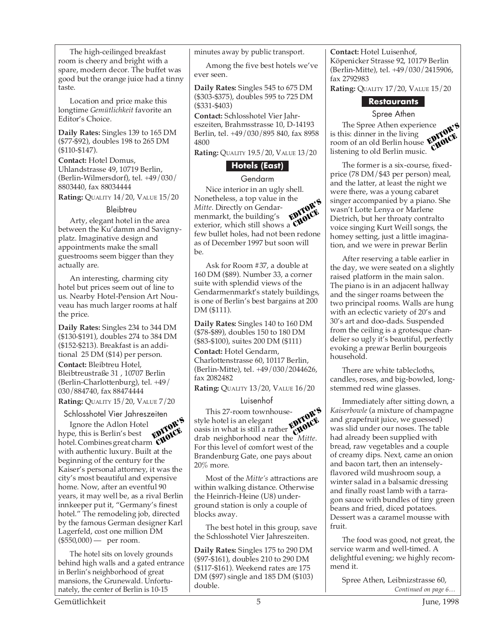The high-ceilinged breakfast room is cheery and bright with a spare, modern decor. The buffet was good but the orange juice had a tinny taste.

Location and price make this longtime *Gemütlichkeit* favorite an Editor's Choice.

**Daily Rates:** Singles 139 to 165 DM (\$77-\$92), doubles 198 to 265 DM (\$110-\$147).

**Contact:** Hotel Domus, Uhlandstrasse 49, 10719 Berlin, (Berlin-Wilmersdorf), tel. +49/030/ 8803440, fax 88034444

**Rating:** QUALITY 14/20, VALUE 15/20

#### **Bleibtreu**

Arty, elegant hotel in the area between the Ku'damm and Savignyplatz. Imaginative design and appointments make the small guestrooms seem bigger than they actually are.

An interesting, charming city hotel but prices seem out of line to us. Nearby Hotel-Pension Art Nouveau has much larger rooms at half the price.

**Daily Rates:** Singles 234 to 344 DM (\$130-\$191), doubles 274 to 384 DM (\$152-\$213). Breakfast is an additional 25 DM (\$14) per person. **Contact:** Bleibtreu Hotel, Bleibtreustraße 31 , 10707 Berlin (Berlin-Charlottenburg), tel. +49/ 030/884740, fax 88474444 **Rating:** QUALITY 15/20, VALUE 7/20

Schlosshotel Vier Jahreszeiten

Ignore the Adlon Hotel hype, this is Berlin's best hotel. Combines great charm  $\sum_{k=1}^{\infty}$  can be be seen to be seen that  $\sum_{k=1}^{\infty}$  with authentic luxury. Built at the beginning of the century for the Kaiser's personal attorney, it was the city's most beautiful and expensive home. Now, after an eventful 90 years, it may well be, as a rival Berlin innkeeper put it, "Germany's finest hotel." The remodeling job, directed by the famous German designer Karl Lagerfeld, cost one million DM (\$550,000) — per room. EDITOR'S CHOICE

The hotel sits on lovely grounds behind high walls and a gated entrance in Berlin's neighborhood of great mansions, the Grunewald. Unfortunately, the center of Berlin is 10-15

minutes away by public transport.

Among the five best hotels we've ever seen.

**Daily Rates:** Singles 545 to 675 DM (\$303-\$375), doubles 595 to 725 DM (\$331-\$403)

**Contact:** Schlosshotel Vier Jahreszeiten, Brahmsstrasse 10, D-14193 Berlin, tel. +49/030/895 840, fax 8958 4800

**Rating:** QUALITY 19.5/20, VALUE 13/20

# **Hotels (East)**

#### Gendarm

Nice interior in an ugly shell. Nonetheless, a top value in the *Mitte*. Directly on Gendarmenmarkt, the building's exterior, which still shows a the state of the building's<br>exterior, which still shows a **CHOICE**<br>few bullet holes, had not been redone as of December 1997 but soon will be. EDITOR'S CHOICE.<br>CHOICE

Ask for Room #37, a double at 160 DM (\$89). Number 33, a corner suite with splendid views of the Gendarmenmarkt's stately buildings, is one of Berlin's best bargains at 200 DM (\$111).

**Daily Rates:** Singles 140 to 160 DM (\$78-\$89), doubles 150 to 180 DM (\$83-\$100), suites 200 DM (\$111) **Contact:** Hotel Gendarm, Charlottenstrasse 60, 10117 Berlin, (Berlin-Mitte), tel. +49/030/2044626, fax 2082482

**Rating:** QUALITY 13/20, VALUE 16/20

# Luisenhof

This 27-room townhousestyle hotel is an elegant oasis in what is still a rather drab neighborhood near the *Mitte*. For this level of comfort west of the Brandenburg Gate, one pays about 20% more. EDITOR'S **CHOICE** 

Most of the *Mitte's* attractions are within walking distance. Otherwise the Heinrich-Heine (U8) underground station is only a couple of blocks away.

The best hotel in this group, save the Schlosshotel Vier Jahreszeiten.

**Daily Rates:** Singles 175 to 290 DM (\$97-\$161), doubles 210 to 290 DM (\$117-\$161). Weekend rates are 175 DM (\$97) single and 185 DM (\$103) double.

**Contact:** Hotel Luisenhof, Köpenicker Strasse 92, 10179 Berlin (Berlin-Mitte), tel. +49/030/2415906, fax 2792983

**Rating:** QUALITY 17/20, VALUE 15/20

# **Restaurants**

#### Spree Athen

The Spree Athen experience is this: dinner in the living room of an old Berlin house listening to old Berlin music. <sup>nce</sup> rok's CHOICE

The former is a six-course, fixedprice (78 DM/\$43 per person) meal, and the latter, at least the night we were there, was a young cabaret singer accompanied by a piano. She wasn't Lotte Lenya or Marlene Dietrich, but her throaty contralto voice singing Kurt Weill songs, the homey setting, just a little imagination, and we were in prewar Berlin

After reserving a table earlier in the day, we were seated on a slightly raised platform in the main salon. The piano is in an adjacent hallway and the singer roams between the two principal rooms. Walls are hung with an eclectic variety of 20's and 30's art and doo-dads. Suspended from the ceiling is a grotesque chandelier so ugly it's beautiful, perfectly evoking a prewar Berlin bourgeois household.

There are white tablecloths, candles, roses, and big-bowled, longstemmed red wine glasses.

Immediately after sitting down, a *Kaiserbowle* (a mixture of champagne and grapefruit juice, we guessed) was slid under our noses. The table had already been supplied with bread, raw vegetables and a couple of creamy dips. Next, came an onion and bacon tart, then an intenselyflavored wild mushroom soup, a winter salad in a balsamic dressing and finally roast lamb with a tarragon sauce with bundles of tiny green beans and fried, diced potatoes. Dessert was a caramel mousse with fruit.

The food was good, not great, the service warm and well-timed. A delightful evening; we highly recommend it.

*Continued on page 6…* Spree Athen, Leibnizstrasse 60,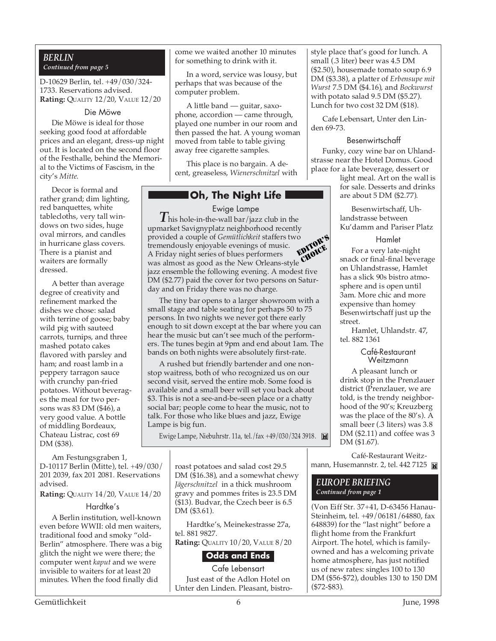#### *BERLIN Continued from page 5*

D-10629 Berlin, tel. +49/030/324- 1733. Reservations advised. **Rating:** QUALITY 12/20, VALUE 12/20

#### Die Möwe

Die Möwe is ideal for those seeking good food at affordable prices and an elegant, dress-up night out. It is located on the second floor of the Festhalle, behind the Memorial to the Victims of Fascism, in the city's *Mitte*.

Decor is formal and rather grand; dim lighting, red banquettes, white tablecloths, very tall windows on two sides, huge oval mirrors, and candles in hurricane glass covers. There is a pianist and waiters are formally dressed.

A better than average degree of creativity and refinement marked the dishes we chose: salad with terrine of goose; baby wild pig with sauteed carrots, turnips, and three mashed potato cakes flavored with parsley and ham; and roast lamb in a peppery tarragon sauce with crunchy pan-fried potatoes. Without beverages the meal for two persons was 83 DM (\$46), a very good value. A bottle of middling Bordeaux, Chateau Listrac, cost 69 DM (\$38).

Am Festungsgraben 1, D-10117 Berlin (Mitte), tel. +49/030/ 201 2039, fax 201 2081. Reservations advised.

**Rating:** QUALITY 14/20, VALUE 14/20

# Hardtke's

A Berlin institution, well-known even before WWII: old men waiters, traditional food and smoky "old-Berlin" atmosphere. There was a big glitch the night we were there; the computer went *kaput* and we were invisible to waiters for at least 20 minutes. When the food finally did

come we waited another 10 minutes for something to drink with it.

In a word, service was lousy, but perhaps that was because of the computer problem.

A little band — guitar, saxophone, accordion — came through, played one number in our room and then passed the hat. A young woman moved from table to table giving away free cigarette samples.

This place is no bargain. A decent, greaseless, *Wienerschnitzel* with

# **Oh, The Night Life**

Ewige Lampe

*T* his hole-in-the-wall bar/jazz club in the upmarket Savignyplatz neighborhood recently provided a couple of *Gemütlichkeit* staffers two tremendously enjoyable evenings of music. A Friday night series of blues performers was almost as good as the New Orleans-style jazz ensemble the following evening. A modest five DM (\$2.77) paid the cover for two persons on Saturday and on Friday there was no charge. EDITOR'S **CHOICE** 

The tiny bar opens to a larger showroom with a small stage and table seating for perhaps 50 to 75 persons. In two nights we never got there early enough to sit down except at the bar where you can hear the music but can't see much of the performers. The tunes begin at 9pm and end about 1am. The bands on both nights were absolutely first-rate.

A rushed but friendly bartender and one nonstop waitress, both of who recognized us on our second visit, served the entire mob. Some food is available and a small beer will set you back about \$3. This is not a see-and-be-seen place or a chatty social bar; people come to hear the music, not to talk. For those who like blues and jazz, Ewige Lampe is big fun.

Ewige Lampe, Niebuhrstr. 11a, tel./fax +49/030/324 3918.

roast potatoes and salad cost 29.5 DM (\$16.38), and a somewhat chewy *Jägerschnitzel* in a thick mushroom gravy and pommes frites is 23.5 DM (\$13). Budvar, the Czech beer is 6.5 DM (\$3.61).

Hardtke's, Meinekestrasse 27a, tel. 881 9827.

**Rating:** QUALITY 10/20, VALUE 8/20

# **Odds and Ends**

Cafe Lebensart Just east of the Adlon Hotel on Unter den Linden. Pleasant, bistrostyle place that's good for lunch. A small (.3 liter) beer was 4.5 DM (\$2.50), housemade tomato soup 6.9 DM (\$3.38), a platter of *Erbensupe mit Wurst* 7.5 DM (\$4.16), and *Bockwurst* with potato salad 9.5 DM (\$5.27). Lunch for two cost 32 DM (\$18).

Cafe Lebensart, Unter den Linden 69-73.

#### Besenwirtschaff

Funky, cozy wine bar on Uhlandstrasse near the Hotel Domus. Good place for a late beverage, dessert or

light meal. Art on the wall is for sale. Desserts and drinks are about 5 DM (\$2.77).

Besenwirtschaff, Uhlandstrasse between Ku'damm and Pariser Platz

#### Hamlet

For a very late-night snack or final-final beverage on Uhlandstrasse, Hamlet has a slick 90s bistro atmosphere and is open until 3am. More chic and more expensive than homey Besenwirtschaff just up the street.

Hamlet, Uhlandstr. 47, tel. 882 1361

#### Café-Restaurant Weitzmann

A pleasant lunch or drink stop in the Prenzlauer district (Prenzlauer, we are told, is the trendy neighborhood of the 90's; Kreuzberg was the place of the 80's). A small beer (.3 liters) was 3.8 DM (\$2.11) and coffee was 3 DM (\$1.67).

Café-Restaurant Weitzmann, Husemannstr. 2, tel. 442 7125 **M** 

#### *EUROPE BRIEFING Continued from page 1*

(Von Eiff Str. 37+41, D-63456 Hanau-Steinheim, tel. +49/06181/64880, fax 648839) for the "last night" before a flight home from the Frankfurt Airport. The hotel, which is familyowned and has a welcoming private home atmosphere, has just notified us of new rates: singles 100 to 130 DM (\$56-\$72), doubles 130 to 150 DM (\$72-\$83).

Gemütlichkeit 6 June, 1998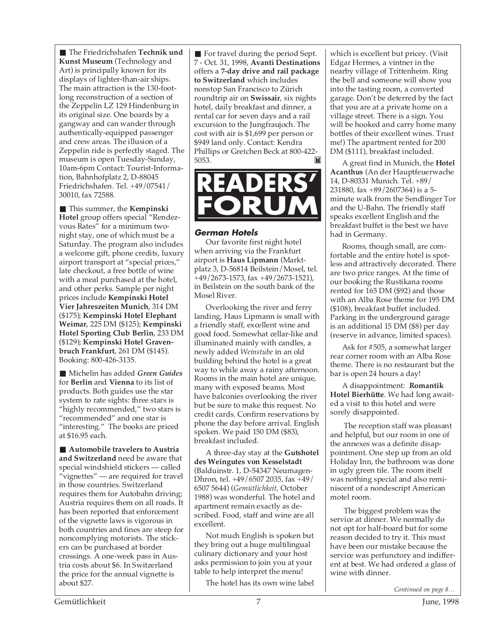■ The Friedrichshafen **Technik und Kunst Museum** (Technology and Art) is principally known for its displays of lighter-than-air ships. The main attraction is the 130-footlong reconstruction of a section of the Zeppelin LZ 129 Hindenburg in its original size. One boards by a gangway and can wander through authentically-equipped passenger and crew areas. The illusion of a Zeppelin ride is perfectly staged. The museum is open Tuesday-Sunday, 10am-6pm Contact: Tourist-Information, Bahnhofplatz 2, D-88045 Friedrichshafen. Tel. +49/07541/ 30010, fax 72588.

■ This summer, the **Kempinski Hotel** group offers special "Rendezvous Rates" for a minimum twonight stay, one of which must be a Saturday. The program also includes a welcome gift, phone credits, luxury airport transport at "special prices," late checkout, a free bottle of wine with a meal purchased at the hotel, and other perks. Sample per night prices include **Kempinski Hotel Vier Jahreszeiten Munich**, 314 DM (\$175); **Kempinski Hotel Elephant Weimar**, 225 DM (\$125); **Kempinski Hotel Sporting Club Berlin**, 233 DM (\$129); **Kempinski Hotel Gravenbruch Frankfurt**, 261 DM (\$145). Booking: 800-426-3135.

■ Michelin has added *Green Guides* for **Berlin** and **Vienna** to its list of products. Both guides use the star system to rate sights: three stars is "highly recommended," two stars is "recommended" and one star is "interesting." The books are priced at \$16.95 each.

■ **Automobile travelers to Austria and Switzerland** need be aware that special windshield stickers — called "vignettes" — are required for travel in those countries. Switzerland requires them for Autobahn driving; Austria requires them on all roads. It has been reported that enforcement of the vignette laws is vigorous in both countries and fines are steep for noncomplying motorists. The stickers can be purchased at border crossings. A one-week pass in Austria costs about \$6. In Switzerland the price for the annual vignette is about \$27.

■ For travel during the period Sept. 7 - Oct. 31, 1998, **Avanti Destinations** offers a **7-day drive and rail package to Switzerland** which includes nonstop San Francisco to Zürich roundtrip air on **Swissair**, six nights hotel, daily breakfast and dinner, a rental car for seven days and a rail excursion to the Jungfraujoch. The cost with air is \$1,699 per person or \$949 land only. Contact: Kendra Phillips or Gretchen Beck at 800-422-<br>5053. 5053.



# **German Hotels**

Our favorite first night hotel when arriving via the Frankfurt airport is **Haus Lipmann** (Marktplatz 3, D-56814 Beilstein/Mosel, tel. +49/2673-1573, fax +49/2673-1521), in Beilstein on the south bank of the Mosel River.

Overlooking the river and ferry landing, Haus Lipmann is small with a friendly staff, excellent wine and good food. Somewhat cellar-like and illuminated mainly with candles, a newly added *Weinstube* in an old building behind the hotel is a great way to while away a rainy afternoon. Rooms in the main hotel are unique, many with exposed beams. Most have balconies overlooking the river but be sure to make this request. No credit cards. Confirm reservations by phone the day before arrival. English spoken. We paid 150 DM (\$83), breakfast included.

A three-day stay at the **Gutshotel des Weingutes von Kesselstadt** (Balduinstr. 1, D-54347 Neumagen-Dhron, tel. +49/6507 2035, fax +49/ 6507 5644) (*Gemütlichkeit,* October 1988) was wonderful. The hotel and apartment remain exactly as described. Food, staff and wine are all excellent.

Not much English is spoken but they bring out a huge multilingual culinary dictionary and your host asks permission to join you at your table to help interpret the menu!

The hotel has its own wine label

which is excellent but pricey. (Visit Edgar Hermes, a vintner in the nearby village of Trittenheim. Ring the bell and someone will show you into the tasting room, a converted garage. Don't be deterred by the fact that you are at a private home on a village street. There is a sign. You will be hooked and carry home many bottles of their excellent wines. Trust me!) The apartment rented for 200 DM (\$111), breakfast included.

A great find in Munich, the **Hotel Acanthus** (An der Hauptfeuerwache 14, D-80331 Munich. Tel. +89/ 231880, fax +89/2607364) is a 5 minute walk from the Sendlinger Tor and the U-Bahn. The friendly staff speaks excellent English and the breakfast buffet is the best we have had in Germany.

Rooms, though small, are comfortable and the entire hotel is spotless and attractively decorated. There are two price ranges. At the time of our booking the Rustikana rooms rented for 165 DM (\$92) and those with an Alba Rose theme for 195 DM (\$108), breakfast buffet included. Parking in the underground garage is an additional 15 DM (\$8) per day (reserve in advance, limited spaces).

Ask for #505, a somewhat larger rear corner room with an Alba Rose theme. There is no restaurant but the bar is open 24 hours a day!

A disappointment: **Romantik Hotel Bierhütte**. We had long awaited a visit to this hotel and were sorely disappointed.

 The reception staff was pleasant and helpful, but our room in one of the annexes was a definite disappointment. One step up from an old Holiday Inn, the bathroom was done in ugly green tile. The room itself was nothing special and also reminiscent of a nondescript American motel room.

 The biggest problem was the service at dinner. We normally do not opt for half-board but for some reason decided to try it. This must have been our mistake because the service was perfunctory and indifferent at best. We had ordered a glass of wine with dinner.

*Continued on page 8…*